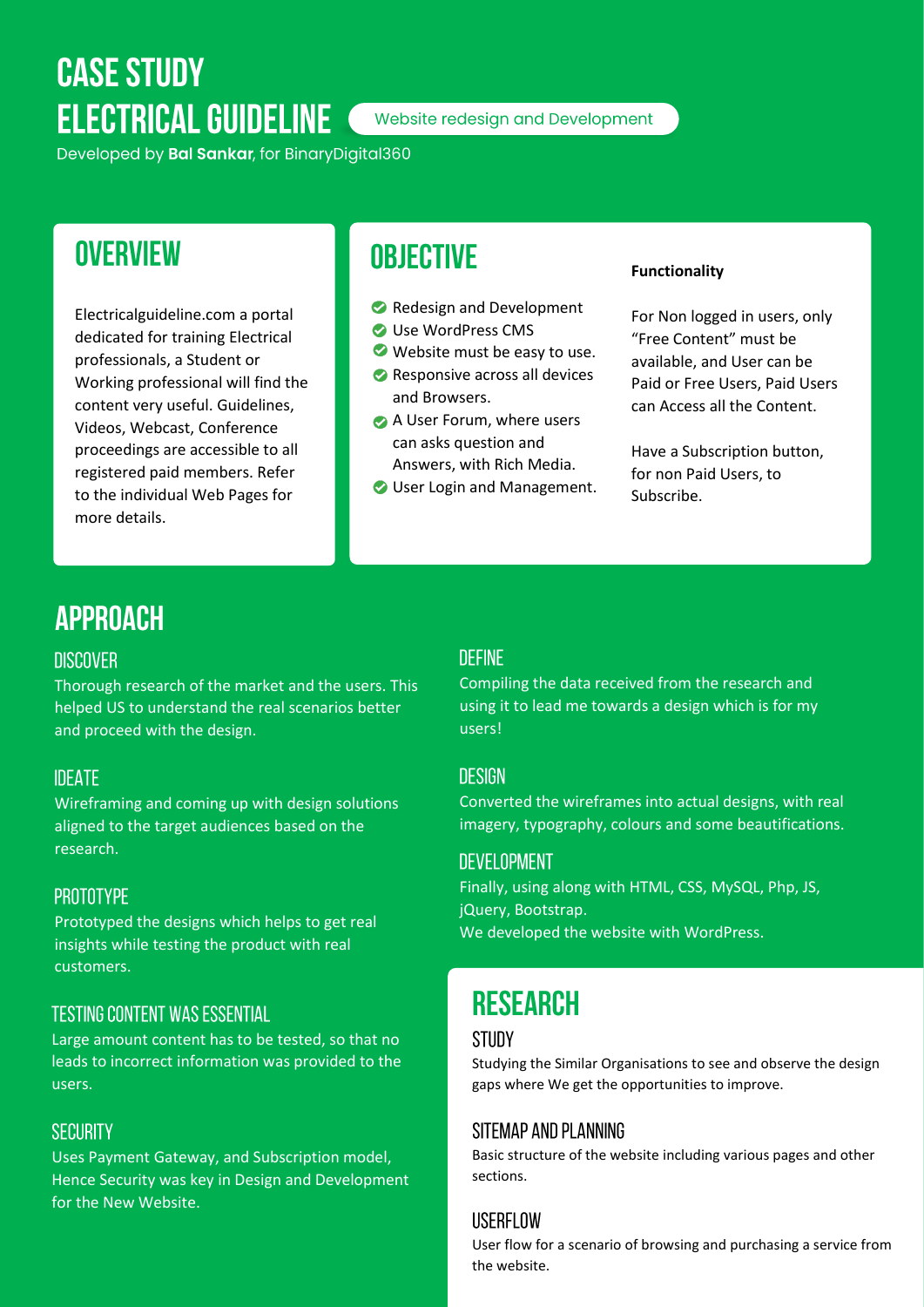# **CASE STUDY ELECTRICAL GUIDELINE**

Website redesign and Development

Developed by Bal Sankar, for BinaryDigital360

## **OVERVIEW**

Electricalguideline.com a portal dedicated for training Electrical professionals, a Student or Working professional will find the content very useful. Guidelines, Videos, Webcast, Conference proceedings are accessible to all registered paid members. Refer to the individual Web Pages for more details.

### **OBJECTIVE**

- Redesign and Development
- O Use WordPress CMS
- Website must be easy to use.
- Responsive across all devices and Browsers.
- A User Forum, where users can asks question and Answers, with Rich Media.
- User Login and Management.

#### **Functionality**

For Non logged in users, only "Free Content" must be available, and User can be Paid or Free Users, Paid Users can Access all the Content.

Have a Subscription button, for non Paid Users, to Subscribe.

### **APPROACH**

#### **DISCOVER**

Thorough research of the market and the users. This helped US to understand the real scenarios better and proceed with the design.

#### **IDEATE**

Wireframing and coming up with design solutions aligned to the target audiences based on the research.

#### **PROTOTYPE**

Prototyped the designs which helps to get real insights while testing the product with real customers.

#### **TESTING CONTENT WAS ESSENTIAL**

Large amount content has to be tested, so that no leads to incorrect information was provided to the users.

#### **SECURITY**

Uses Payment Gateway, and Subscription model, Hence Security was key in Design and Development for the New Website.

#### **DEFINE**

Compiling the data received from the research and using it to lead me towards a design which is for my users!

#### **DESIGN**

Converted the wireframes into actual designs, with real imagery, typography, colours and some beautifications.

#### **DEVELOPMENT**

Finally, using along with HTML, CSS, MySQL, Php, JS, jQuery, Bootstrap. We developed the website with WordPress.

## **RESEARCH**

#### **STUDY**

Studying the Similar Organisations to see and observe the design gaps where We get the opportunities to improve.

#### SITEMAP AND PLANNING

Basic structure of the website including various pages and other sections.

#### USERFLOW

User flow for a scenario of browsing and purchasing a service from the website.